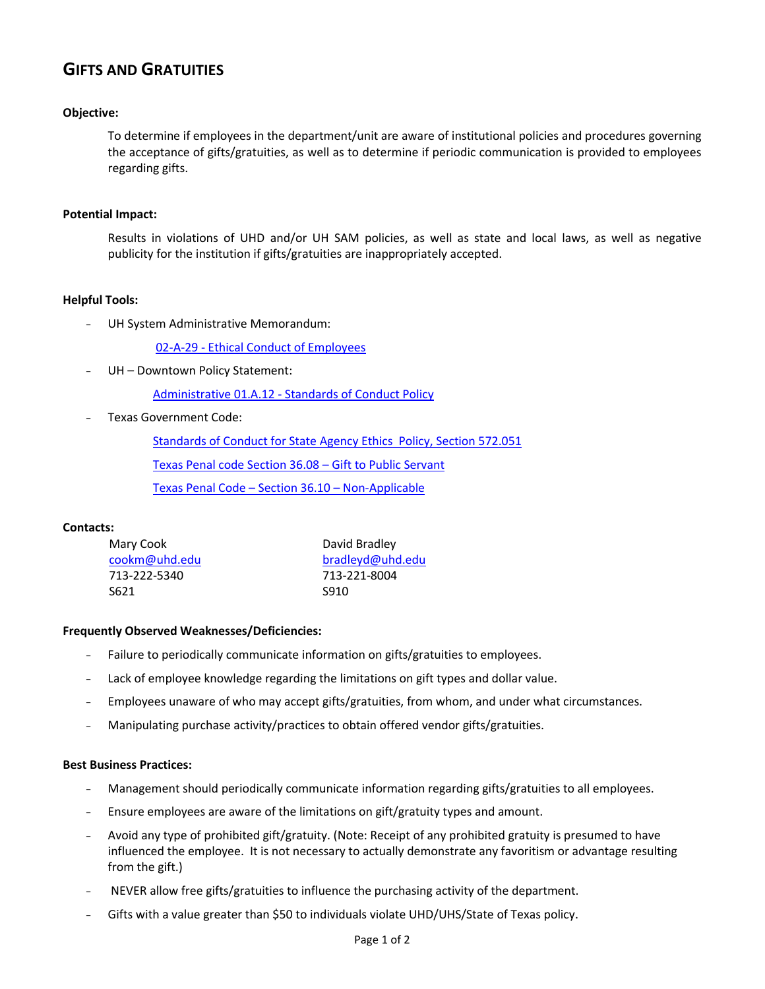# **GIFTS AND GRATUITIES**

## **Objective:**

To determine if employees in the department/unit are aware of institutional policies and procedures governing the acceptance of gifts/gratuities, as well as to determine if periodic communication is provided to employees regarding gifts.

## **Potential Impact:**

Results in violations of UHD and/or UH SAM policies, as well as state and local laws, as well as negative publicity for the institution if gifts/gratuities are inappropriately accepted.

## **Helpful Tools:**

UH System Administrative Memorandum:

02-A-29 - [Ethical Conduct of Employees](http://www.uhsa.uh.edu/sam/2HumanResources/2A29.pdf)

UH - Downtown Policy Statement:

Administrative 01.A.12 - [Standards of Conduct Policy](http://www.uhd.edu/about/hr/PS01A12.pdf)

- Texas Government Code:

Standards of Conduct for State [Agency Ethics Policy, Section 572.051](http://codes.lp.findlaw.com/txstatutes/GV/5/B/572/C/572.051)

[Texas Penal code Section 36.08](http://law.onecle.com/texas/penal/36.08.00.html) – Gift to Public Servant

[Texas Penal Code](http://law.onecle.com/texas/penal/36.10.00.html) – Section 36.10 – Non-Applicable

## **Contacts:**

| Mary Cook     | David Bradley<br>bradleyd@uhd.edu |  |  |
|---------------|-----------------------------------|--|--|
| cookm@uhd.edu |                                   |  |  |
| 713-222-5340  | 713-221-8004                      |  |  |
| S621          | S910                              |  |  |

## **Frequently Observed Weaknesses/Deficiencies:**

- Failure to periodically communicate information on gifts/gratuities to employees.
- Lack of employee knowledge regarding the limitations on gift types and dollar value.
- Employees unaware of who may accept gifts/gratuities, from whom, and under what circumstances.
- Manipulating purchase activity/practices to obtain offered vendor gifts/gratuities.

## **Best Business Practices:**

- Management should periodically communicate information regarding gifts/gratuities to all employees.
- Ensure employees are aware of the limitations on gift/gratuity types and amount.
- Avoid any type of prohibited gift/gratuity. (Note: Receipt of any prohibited gratuity is presumed to have influenced the employee. It is not necessary to actually demonstrate any favoritism or advantage resulting from the gift.)
- NEVER allow free gifts/gratuities to influence the purchasing activity of the department.
- Gifts with a value greater than \$50 to individuals violate UHD/UHS/State of Texas policy.